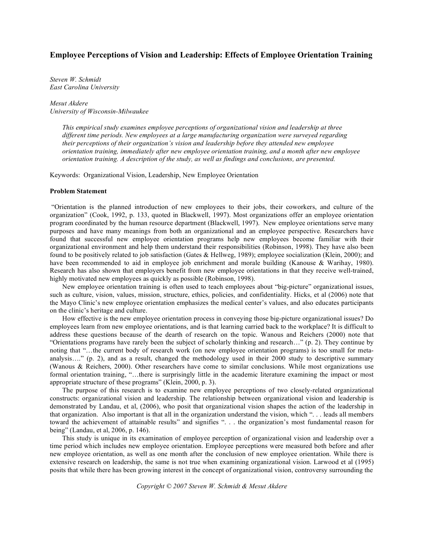## **Employee Perceptions of Vision and Leadership: Effects of Employee Orientation Training**

*Steven W. Schmidt East Carolina University*

*Mesut Akdere University of Wisconsin-Milwaukee*

> *This empirical study examines employee perceptions of organizational vision and leadership at three different time periods. New employees at a large manufacturing organization were surveyed regarding their perceptions of their organization's vision and leadership before they attended new employee orientation training, immediately after new employee orientation training, and a month after new employee orientation training. A description of the study, as well as findings and conclusions, are presented.*

Keywords: Organizational Vision, Leadership, New Employee Orientation

### **Problem Statement**

"Orientation is the planned introduction of new employees to their jobs, their coworkers, and culture of the organization" (Cook, 1992, p. 133, quoted in Blackwell, 1997). Most organizations offer an employee orientation program coordinated by the human resource department (Blackwell, 1997). New employee orientations serve many purposes and have many meanings from both an organizational and an employee perspective. Researchers have found that successful new employee orientation programs help new employees become familiar with their organizational environment and help them understand their responsibilities (Robinson, 1998). They have also been found to be positively related to job satisfaction (Gates & Hellweg, 1989); employee socialization (Klein, 2000); and have been recommended to aid in employee job enrichment and morale building (Kanouse & Warihay, 1980). Research has also shown that employers benefit from new employee orientations in that they receive well-trained, highly motivated new employees as quickly as possible (Robinson, 1998).

New employee orientation training is often used to teach employees about "big-picture" organizational issues, such as culture, vision, values, mission, structure, ethics, policies, and confidentiality. Hicks, et al (2006) note that the Mayo Clinic's new employee orientation emphasizes the medical center's values, and also educates participants on the clinic's heritage and culture.

How effective is the new employee orientation process in conveying those big-picture organizational issues? Do employees learn from new employee orientations, and is that learning carried back to the workplace? It is difficult to address these questions because of the dearth of research on the topic. Wanous and Reichers (2000) note that "Orientations programs have rarely been the subject of scholarly thinking and research…" (p. 2). They continue by noting that "…the current body of research work (on new employee orientation programs) is too small for metaanalysis…." (p. 2), and as a result, changed the methodology used in their 2000 study to descriptive summary (Wanous & Reichers, 2000). Other researchers have come to similar conclusions. While most organizations use formal orientation training, "...there is surprisingly little in the academic literature examining the impact or most appropriate structure of these programs" (Klein, 2000, p. 3).

The purpose of this research is to examine new employee perceptions of two closely-related organizational constructs: organizational vision and leadership. The relationship between organizational vision and leadership is demonstrated by Landau, et al, (2006), who posit that organizational vision shapes the action of the leadership in that organization. Also important is that all in the organization understand the vision, which ". . . leads all members toward the achievement of attainable results" and signifies ". . . the organization's most fundamental reason for being" (Landau, et al, 2006, p. 146).

This study is unique in its examination of employee perception of organizational vision and leadership over a time period which includes new employee orientation. Employee perceptions were measured both before and after new employee orientation, as well as one month after the conclusion of new employee orientation. While there is extensive research on leadership, the same is not true when examining organizational vision. Larwood et al (1995) posits that while there has been growing interest in the concept of organizational vision, controversy surrounding the

*Copyright © 2007 Steven W. Schmidt & Mesut Akdere*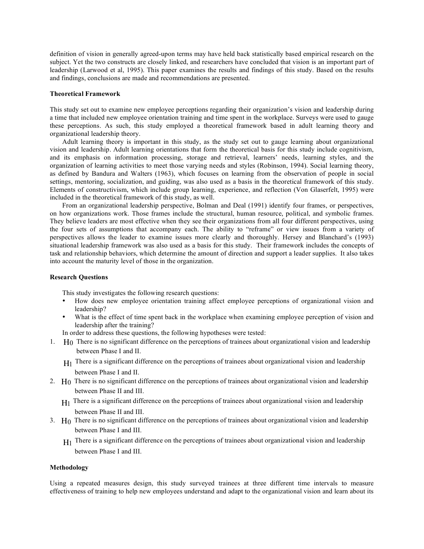definition of vision in generally agreed-upon terms may have held back statistically based empirical research on the subject. Yet the two constructs are closely linked, and researchers have concluded that vision is an important part of leadership (Larwood et al, 1995). This paper examines the results and findings of this study. Based on the results and findings, conclusions are made and recommendations are presented.

### **Theoretical Framework**

This study set out to examine new employee perceptions regarding their organization's vision and leadership during a time that included new employee orientation training and time spent in the workplace. Surveys were used to gauge these perceptions. As such, this study employed a theoretical framework based in adult learning theory and organizational leadership theory.

Adult learning theory is important in this study, as the study set out to gauge learning about organizational vision and leadership. Adult learning orientations that form the theoretical basis for this study include cognitivism, and its emphasis on information processing, storage and retrieval, learners' needs, learning styles, and the organization of learning activities to meet those varying needs and styles (Robinson, 1994). Social learning theory, as defined by Bandura and Walters (1963), which focuses on learning from the observation of people in social settings, mentoring, socialization, and guiding, was also used as a basis in the theoretical framework of this study. Elements of constructivism, which include group learning, experience, and reflection (Von Glaserfelt, 1995) were included in the theoretical framework of this study, as well.

From an organizational leadership perspective, Bolman and Deal (1991) identify four frames, or perspectives, on how organizations work. Those frames include the structural, human resource, political, and symbolic frames. They believe leaders are most effective when they see their organizations from all four different perspectives, using the four sets of assumptions that accompany each. The ability to "reframe" or view issues from a variety of perspectives allows the leader to examine issues more clearly and thoroughly. Hersey and Blanchard's (1993) situational leadership framework was also used as a basis for this study. Their framework includes the concepts of task and relationship behaviors, which determine the amount of direction and support a leader supplies. It also takes into account the maturity level of those in the organization.

#### **Research Questions**

This study investigates the following research questions:

- How does new employee orientation training affect employee perceptions of organizational vision and leadership?
- What is the effect of time spent back in the workplace when examining employee perception of vision and leadership after the training?
- In order to address these questions, the following hypotheses were tested:
- 1. Ho There is no significant difference on the perceptions of trainees about organizational vision and leadership between Phase I and II.
	- $H<sub>1</sub>$  There is a significant difference on the perceptions of trainees about organizational vision and leadership between Phase I and II.
- 2. Ho There is no significant difference on the perceptions of trainees about organizational vision and leadership between Phase II and III.
	- $H_1$  There is a significant difference on the perceptions of trainees about organizational vision and leadership between Phase II and III.
- 3. Ho There is no significant difference on the perceptions of trainees about organizational vision and leadership between Phase I and III.
	- $H<sub>1</sub>$  There is a significant difference on the perceptions of trainees about organizational vision and leadership between Phase I and III.

### **Methodology**

Using a repeated measures design, this study surveyed trainees at three different time intervals to measure effectiveness of training to help new employees understand and adapt to the organizational vision and learn about its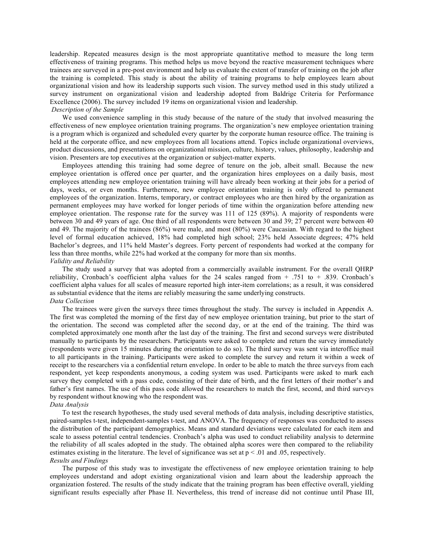leadership. Repeated measures design is the most appropriate quantitative method to measure the long term effectiveness of training programs. This method helps us move beyond the reactive measurement techniques where trainees are surveyed in a pre-post environment and help us evaluate the extent of transfer of training on the job after the training is completed. This study is about the ability of training programs to help employees learn about organizational vision and how its leadership supports such vision. The survey method used in this study utilized a survey instrument on organizational vision and leadership adopted from Baldrige Criteria for Performance Excellence (2006). The survey included 19 items on organizational vision and leadership.

### *Description of the Sample*

We used convenience sampling in this study because of the nature of the study that involved measuring the effectiveness of new employee orientation training programs. The organization's new employee orientation training is a program which is organized and scheduled every quarter by the corporate human resource office. The training is held at the corporate office, and new employees from all locations attend. Topics include organizational overviews, product discussions, and presentations on organizational mission, culture, history, values, philosophy, leadership and vision. Presenters are top executives at the organization or subject-matter experts.

Employees attending this training had some degree of tenure on the job, albeit small. Because the new employee orientation is offered once per quarter, and the organization hires employees on a daily basis, most employees attending new employee orientation training will have already been working at their jobs for a period of days, weeks, or even months. Furthermore, new employee orientation training is only offered to permanent employees of the organization. Interns, temporary, or contract employees who are then hired by the organization as permanent employees may have worked for longer periods of time within the organization before attending new employee orientation. The response rate for the survey was 111 of 125 (89%). A majority of respondents were between 30 and 49 years of age. One third of all respondents were between 30 and 39; 27 percent were between 40 and 49. The majority of the trainees (86%) were male, and most (80%) were Caucasian. With regard to the highest level of formal education achieved, 18% had completed high school; 23% held Associate degrees; 47% held Bachelor's degrees, and 11% held Master's degrees. Forty percent of respondents had worked at the company for less than three months, while 22% had worked at the company for more than six months. *Validity and Reliability*

# The study used a survey that was adopted from a commercially available instrument. For the overall QHRP reliability, Cronbach's coefficient alpha values for the 24 scales ranged from + .751 to + .839. Cronbach's coefficient alpha values for all scales of measure reported high inter-item correlations; as a result, it was considered as substantial evidence that the items are reliably measuring the same underlying constructs.

# *Data Collection*

The trainees were given the surveys three times throughout the study. The survey is included in Appendix A. The first was completed the morning of the first day of new employee orientation training, but prior to the start of the orientation. The second was completed after the second day, or at the end of the training. The third was completed approximately one month after the last day of the training. The first and second surveys were distributed manually to participants by the researchers. Participants were asked to complete and return the survey immediately (respondents were given 15 minutes during the orientation to do so). The third survey was sent via interoffice mail to all participants in the training. Participants were asked to complete the survey and return it within a week of receipt to the researchers via a confidential return envelope. In order to be able to match the three surveys from each respondent, yet keep respondents anonymous, a coding system was used. Participants were asked to mark each survey they completed with a pass code, consisting of their date of birth, and the first letters of their mother's and father's first names. The use of this pass code allowed the researchers to match the first, second, and third surveys by respondent without knowing who the respondent was.

## *Data Analysis*

To test the research hypotheses, the study used several methods of data analysis, including descriptive statistics, paired-samples t-test, independent-samples t-test, and ANOVA. The frequency of responses was conducted to assess the distribution of the participant demographics. Means and standard deviations were calculated for each item and scale to assess potential central tendencies. Cronbach's alpha was used to conduct reliability analysis to determine the reliability of all scales adopted in the study. The obtained alpha scores were then compared to the reliability estimates existing in the literature. The level of significance was set at  $p < .01$  and .05, respectively. *Results and Findings*

The purpose of this study was to investigate the effectiveness of new employee orientation training to help employees understand and adopt existing organizational vision and learn about the leadership approach the organization fostered. The results of the study indicate that the training program has been effective overall, yielding significant results especially after Phase II. Nevertheless, this trend of increase did not continue until Phase III,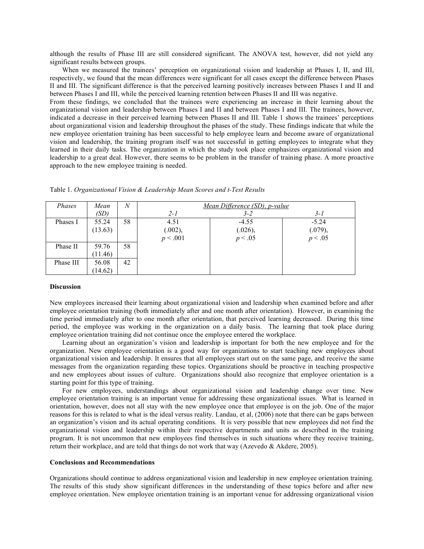although the results of Phase III are still considered significant. The ANOVA test, however, did not yield any significant results between groups.

When we measured the trainees' perception on organizational vision and leadership at Phases I, II, and III, respectively, we found that the mean differences were significant for all cases except the difference between Phases II and III. The significant difference is that the perceived learning positively increases between Phases I and II and between Phases I and III, while the perceived learning retention between Phases II and III was negative.

From these findings, we concluded that the trainees were experiencing an increase in their learning about the organizational vision and leadership between Phases I and II and between Phases I and III. The trainees, however, indicated a decrease in their perceived learning between Phases II and III. Table 1 shows the trainees' perceptions about organizational vision and leadership throughout the phases of the study. These findings indicate that while the new employee orientation training has been successful to help employee learn and become aware of organizational vision and leadership, the training program itself was not successful in getting employees to integrate what they learned in their daily tasks. The organization in which the study took place emphasizes organizational vision and leadership to a great deal. However, there seems to be problem in the transfer of training phase. A more proactive approach to the new employee training is needed.

| Phases    | Mean    | $\overline{N}$ | Mean Difference (SD), p-value |         |         |  |  |  |
|-----------|---------|----------------|-------------------------------|---------|---------|--|--|--|
|           | (SD)    |                | $2 - I$                       | $3 - 2$ | $3-I$   |  |  |  |
| Phases I  | 55.24   | 58             | 4.51                          | $-4.55$ | $-5.24$ |  |  |  |
|           | (13.63) |                | (.002),                       | (.026), | (.079), |  |  |  |
|           |         |                | p < .001                      | p < .05 | p < .05 |  |  |  |
| Phase II  | 59.76   | 58             |                               |         |         |  |  |  |
|           | (11.46) |                |                               |         |         |  |  |  |
| Phase III | 56.08   | 42             |                               |         |         |  |  |  |
|           | (14.62) |                |                               |         |         |  |  |  |

Table 1. *Organizational Vision & Leadership Mean Scores and t-Test Results*

### **Discussion**

New employees increased their learning about organizational vision and leadership when examined before and after employee orientation training (both immediately after and one month after orientation). However, in examining the time period immediately after to one month after orientation, that perceived learning decreased. During this time period, the employee was working in the organization on a daily basis. The learning that took place during employee orientation training did not continue once the employee entered the workplace.

Learning about an organization's vision and leadership is important for both the new employee and for the organization. New employee orientation is a good way for organizations to start teaching new employees about organizational vision and leadership. It ensures that all employees start out on the same page, and receive the same messages from the organization regarding these topics. Organizations should be proactive in teaching prospective and new employees about issues of culture. Organizations should also recognize that employee orientation is a starting point for this type of training.

For new employees, understandings about organizational vision and leadership change over time. New employee orientation training is an important venue for addressing these organizational issues. What is learned in orientation, however, does not all stay with the new employee once that employee is on the job. One of the major reasons for this is related to what is the ideal versus reality. Landau, et al, (2006) note that there can be gaps between an organization's vision and its actual operating conditions. It is very possible that new employees did not find the organizational vision and leadership within their respective departments and units as described in the training program. It is not uncommon that new employees find themselves in such situations where they receive training, return their workplace, and are told that things do not work that way (Azevedo & Akdere, 2005).

#### **Conclusions and Recommendations**

Organizations should continue to address organizational vision and leadership in new employee orientation training. The results of this study show significant differences in the understanding of these topics before and after new employee orientation. New employee orientation training is an important venue for addressing organizational vision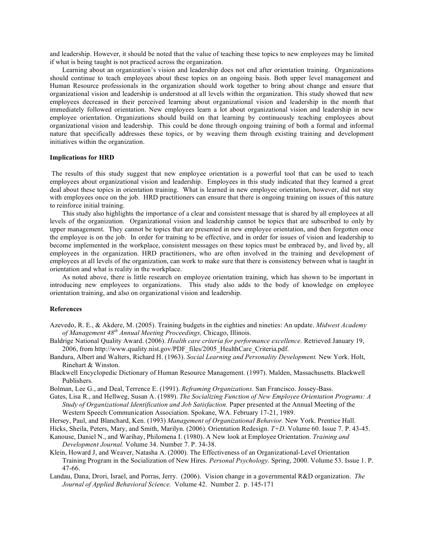and leadership. However, it should be noted that the value of teaching these topics to new employees may be limited if what is being taught is not practiced across the organization.

Learning about an organization's vision and leadership does not end after orientation training. Organizations should continue to teach employees about these topics on an ongoing basis. Both upper level management and Human Resource professionals in the organization should work together to bring about change and ensure that organizational vision and leadership is understood at all levels within the organization. This study showed that new employees decreased in their perceived learning about organizational vision and leadership in the month that immediately followed orientation. New employees learn a lot about organizational vision and leadership in new employee orientation. Organizations should build on that learning by continuously teaching employees about organizational vision and leadership. This could be done through ongoing training of both a formal and informal nature that specifically addresses these topics, or by weaving them through existing training and development initiatives within the organization.

### **Implications for HRD**

The results of this study suggest that new employee orientation is a powerful tool that can be used to teach employees about organizational vision and leadership. Employees in this study indicated that they learned a great deal about these topics in orientation training. What is learned in new employee orientation, however, did not stay with employees once on the job. HRD practitioners can ensure that there is ongoing training on issues of this nature to reinforce initial training.

This study also highlights the importance of a clear and consistent message that is shared by all employees at all levels of the organization. Organizational vision and leadership cannot be topics that are subscribed to only by upper management. They cannot be topics that are presented in new employee orientation, and then forgotten once the employee is on the job. In order for training to be effective, and in order for issues of vision and leadership to become implemented in the workplace, consistent messages on these topics must be embraced by, and lived by, all employees in the organization. HRD practitioners, who are often involved in the training and development of employees at all levels of the organization, can work to make sure that there is consistency between what is taught in orientation and what is reality in the workplace.

As noted above, there is little research on employee orientation training, which has shown to be important in introducing new employees to organizations. This study also adds to the body of knowledge on employee orientation training, and also on organizational vision and leadership.

### **References**

- Azevedo, R. E., & Akdere, M. (2005). Training budgets in the eighties and nineties: An update. *Midwest Academy of Management 48th Annual Meeting Proceedings,* Chicago, Illinois.
- Baldrige National Quality Award. (2006). *Health care criteria for performance excellence.* Retrieved January 19, 2006, from http://www.quality.nist.gov/PDF\_files/2005\_HealthCare\_Criteria.pdf.
- Bandura, Albert and Walters, Richard H. (1963). *Social Learning and Personality Development.* New York. Holt, Rinehart & Winston.
- Blackwell Encyclopedic Dictionary of Human Resource Management. (1997). Malden, Massachusetts. Blackwell Publishers.
- Bolman, Lee G., and Deal, Terrence E. (1991). *Reframing Organizations.* San Francisco. Jossey-Bass.
- Gates, Lisa R., and Hellweg, Susan A. (1989). *The Socializing Function of New Employee Orientation Programs: A Study of Organizational Identification and Job Satisfaction.* Paper presented at the Annual Meeting of the Western Speech Communication Association. Spokane, WA. February 17-21, 1989.
- Hersey, Paul, and Blanchard, Ken. (1993) *Management of Organizational Behavior.* New York. Prentice Hall.
- Hicks, Sheila, Peters, Mary, and Smith, Marilyn. (2006). Orientation Redesign. *T+D.* Volume 60. Issue 7. P. 43-45.
- Kanouse, Daniel N., and Warihay, Philomena I. (1980). A New look at Employee Orientation. *Training and Development Journal.* Volume 34. Number 7. P. 34-38.
- Klein, Howard J, and Weaver, Natasha A. (2000). The Effectiveness of an Organizational-Level Orientation Training Program in the Socialization of New Hires*. Personal Psychology*. Spring, 2000. Volume 53. Issue 1. P. 47-66.
- Landau, Dana, Drori, Israel, and Porras, Jerry. (2006). Vision change in a governmental R&D organization. *The Journal of Applied Behavioral Science.* Volume 42. Number 2. p. 145-171